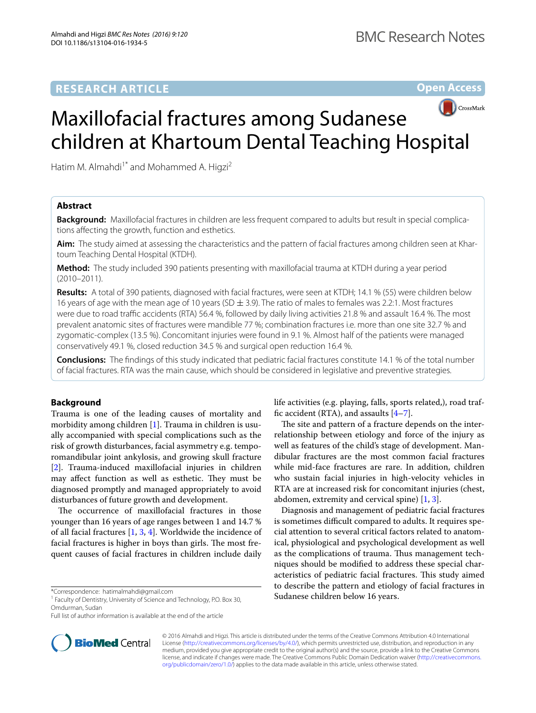**Open Access**



# Maxillofacial fractures among Sudanese children at Khartoum Dental Teaching Hospital

Hatim M. Almahdi<sup>1\*</sup> and Mohammed A. Higzi<sup>2</sup>

# **Abstract**

**Background:** Maxillofacial fractures in children are less frequent compared to adults but result in special complications affecting the growth, function and esthetics.

**Aim:** The study aimed at assessing the characteristics and the pattern of facial fractures among children seen at Khartoum Teaching Dental Hospital (KTDH).

**Method:** The study included 390 patients presenting with maxillofacial trauma at KTDH during a year period (2010–2011).

**Results:** A total of 390 patients, diagnosed with facial fractures, were seen at KTDH; 14.1 % (55) were children below 16 years of age with the mean age of 10 years (SD  $\pm$  3.9). The ratio of males to females was 2.2:1. Most fractures were due to road traffic accidents (RTA) 56.4 %, followed by daily living activities 21.8 % and assault 16.4 %. The most prevalent anatomic sites of fractures were mandible 77 %; combination fractures i.e. more than one site 32.7 % and zygomatic-complex (13.5 %). Concomitant injuries were found in 9.1 %. Almost half of the patients were managed conservatively 49.1 %, closed reduction 34.5 % and surgical open reduction 16.4 %.

**Conclusions:** The findings of this study indicated that pediatric facial fractures constitute 14.1 % of the total number of facial fractures. RTA was the main cause, which should be considered in legislative and preventive strategies.

## **Background**

Trauma is one of the leading causes of mortality and morbidity among children [[1](#page-3-0)]. Trauma in children is usually accompanied with special complications such as the risk of growth disturbances, facial asymmetry e.g. temporomandibular joint ankylosis, and growing skull fracture [[2\]](#page-3-1). Trauma-induced maxillofacial injuries in children may affect function as well as esthetic. They must be diagnosed promptly and managed appropriately to avoid disturbances of future growth and development.

The occurrence of maxillofacial fractures in those younger than 16 years of age ranges between 1 and 14.7 % of all facial fractures [\[1](#page-3-0), [3,](#page-3-2) [4\]](#page-3-3). Worldwide the incidence of facial fractures is higher in boys than girls. The most frequent causes of facial fractures in children include daily



The site and pattern of a fracture depends on the interrelationship between etiology and force of the injury as well as features of the child's stage of development. Mandibular fractures are the most common facial fractures while mid-face fractures are rare. In addition, children who sustain facial injuries in high-velocity vehicles in RTA are at increased risk for concomitant injuries (chest, abdomen, extremity and cervical spine) [[1,](#page-3-0) [3](#page-3-2)].

Diagnosis and management of pediatric facial fractures is sometimes difficult compared to adults. It requires special attention to several critical factors related to anatomical, physiological and psychological development as well as the complications of trauma. Thus management techniques should be modified to address these special characteristics of pediatric facial fractures. This study aimed to describe the pattern and etiology of facial fractures in Sudanese children below 16 years.



© 2016 Almahdi and Higzi. This article is distributed under the terms of the Creative Commons Attribution 4.0 International License (<http://creativecommons.org/licenses/by/4.0/>), which permits unrestricted use, distribution, and reproduction in any medium, provided you give appropriate credit to the original author(s) and the source, provide a link to the Creative Commons license, and indicate if changes were made. The Creative Commons Public Domain Dedication waiver ([http://creativecommons.](http://creativecommons.org/publicdomain/zero/1.0/) [org/publicdomain/zero/1.0/](http://creativecommons.org/publicdomain/zero/1.0/)) applies to the data made available in this article, unless otherwise stated.

<sup>\*</sup>Correspondence: hatimalmahdi@gmail.com

<sup>&</sup>lt;sup>1</sup> Faculty of Dentistry, University of Science and Technology, P.O. Box 30, Omdurman, Sudan

Full list of author information is available at the end of the article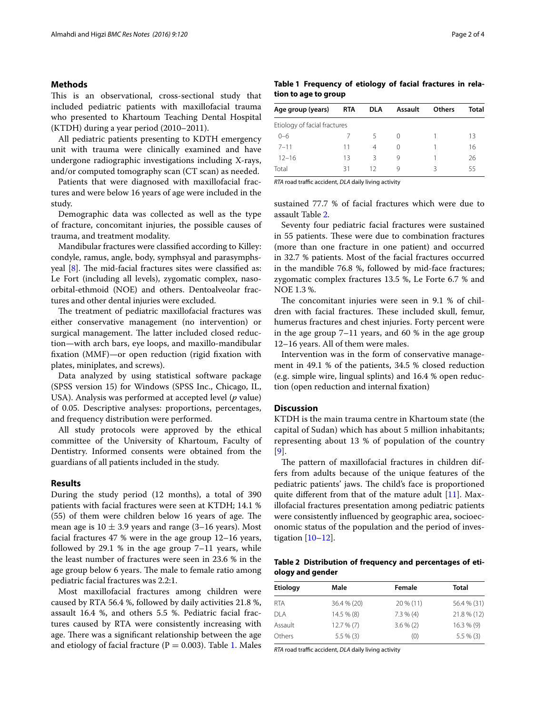### **Methods**

This is an observational, cross-sectional study that included pediatric patients with maxillofacial trauma who presented to Khartoum Teaching Dental Hospital (KTDH) during a year period (2010–2011).

All pediatric patients presenting to KDTH emergency unit with trauma were clinically examined and have undergone radiographic investigations including X-rays, and/or computed tomography scan (CT scan) as needed.

Patients that were diagnosed with maxillofacial fractures and were below 16 years of age were included in the study.

Demographic data was collected as well as the type of fracture, concomitant injuries, the possible causes of trauma, and treatment modality.

Mandibular fractures were classified according to Killey: condyle, ramus, angle, body, symphsyal and parasymphsyeal [\[8](#page-3-5)]. The mid-facial fractures sites were classified as: Le Fort (including all levels), zygomatic complex, nasoorbital-ethmoid (NOE) and others. Dentoalveolar fractures and other dental injuries were excluded.

The treatment of pediatric maxillofacial fractures was either conservative management (no intervention) or surgical management. The latter included closed reduction—with arch bars, eye loops, and maxillo-mandibular fixation (MMF)—or open reduction (rigid fixation with plates, miniplates, and screws).

Data analyzed by using statistical software package (SPSS version 15) for Windows (SPSS Inc., Chicago, IL, USA). Analysis was performed at accepted level (*p* value) of 0.05. Descriptive analyses: proportions, percentages, and frequency distribution were performed.

All study protocols were approved by the ethical committee of the University of Khartoum, Faculty of Dentistry. Informed consents were obtained from the guardians of all patients included in the study.

## **Results**

During the study period (12 months), a total of 390 patients with facial fractures were seen at KTDH; 14.1 % (55) of them were children below 16 years of age. The mean age is  $10 \pm 3.9$  years and range (3–16 years). Most facial fractures 47 % were in the age group 12–16 years, followed by 29.1 % in the age group  $7-11$  years, while the least number of fractures were seen in 23.6 % in the age group below 6 years. The male to female ratio among pediatric facial fractures was 2.2:1.

Most maxillofacial fractures among children were caused by RTA 56.4 %, followed by daily activities 21.8 %, assault 16.4 %, and others 5.5 %. Pediatric facial fractures caused by RTA were consistently increasing with age. There was a significant relationship between the age and etiology of facial fracture ( $P = 0.003$ ). Table [1](#page-1-0). Males

| Age group (years)            | <b>RTA</b> | <b>DLA</b> | <b>Assault</b> | <b>Others</b> | Total |  |  |
|------------------------------|------------|------------|----------------|---------------|-------|--|--|
| Etiology of facial fractures |            |            |                |               |       |  |  |
| $0 - 6$                      |            | 5          | 0              |               | 13    |  |  |
| $7 - 11$                     | 11         | 4          | 0              |               | 16    |  |  |
| $12 - 16$                    | 13         | Κ          | 9              |               | 26    |  |  |
| Total                        | 31         | 12         | q              | ς             | 55    |  |  |
|                              |            |            |                |               |       |  |  |

<span id="page-1-0"></span>**Table 1 Frequency of etiology of facial fractures in rela-**

*RTA* road traffic accident, *DLA* daily living activity

**tion to age to group**

sustained 77.7 % of facial fractures which were due to assault Table [2](#page-1-1).

Seventy four pediatric facial fractures were sustained in 55 patients. These were due to combination fractures (more than one fracture in one patient) and occurred in 32.7 % patients. Most of the facial fractures occurred in the mandible 76.8 %, followed by mid-face fractures; zygomatic complex fractures 13.5 %, Le Forte 6.7 % and NOE 1.3 %.

The concomitant injuries were seen in 9.1 % of children with facial fractures. These included skull, femur, humerus fractures and chest injuries. Forty percent were in the age group 7–11 years, and 60 % in the age group 12–16 years. All of them were males.

Intervention was in the form of conservative management in 49.1 % of the patients, 34.5 % closed reduction (e.g. simple wire, lingual splints) and 16.4 % open reduction (open reduction and internal fixation)

## **Discussion**

KTDH is the main trauma centre in Khartoum state (the capital of Sudan) which has about 5 million inhabitants; representing about 13 % of population of the country [[9](#page-3-6)].

The pattern of maxillofacial fractures in children differs from adults because of the unique features of the pediatric patients' jaws. The child's face is proportioned quite different from that of the mature adult [[11\]](#page-3-7). Maxillofacial fractures presentation among pediatric patients were consistently influenced by geographic area, socioeconomic status of the population and the period of investigation  $[10-12]$  $[10-12]$  $[10-12]$ .

<span id="page-1-1"></span>**Table 2 Distribution of frequency and percentages of etiology and gender**

| <b>Etiology</b> | Male         | Female       | Total         |
|-----------------|--------------|--------------|---------------|
| <b>RTA</b>      | 36.4 % (20)  | $20\%$ (11)  | 56.4 % (31)   |
| <b>DLA</b>      | 14.5 % (8)   | $7.3 \% (4)$ | $21.8\%$ (12) |
| Assault         | 12.7%(7)     | $3.6\%$ (2)  | 16.3% (9)     |
| Others          | $5.5 \% (3)$ | (0)          | $5.5 \% (3)$  |

*RTA* road traffic accident, *DLA* daily living activity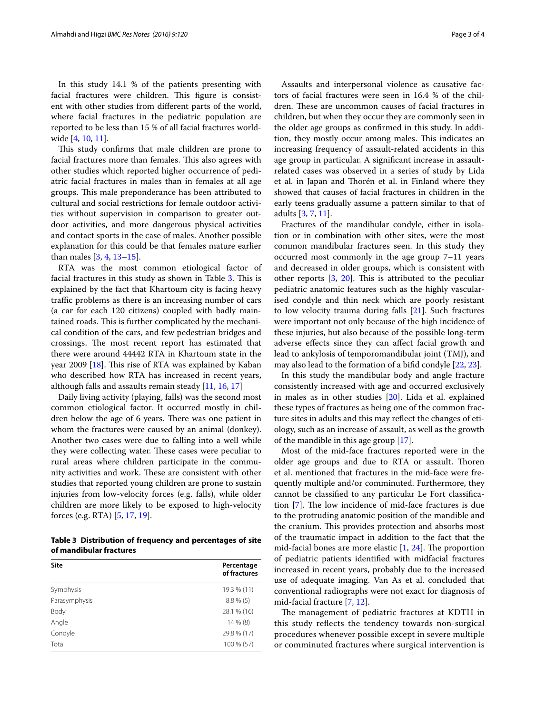In this study 14.1 % of the patients presenting with facial fractures were children. This figure is consistent with other studies from different parts of the world, where facial fractures in the pediatric population are reported to be less than 15 % of all facial fractures worldwide [[4,](#page-3-3) [10,](#page-3-8) [11](#page-3-7)].

This study confirms that male children are prone to facial fractures more than females. This also agrees with other studies which reported higher occurrence of pediatric facial fractures in males than in females at all age groups. This male preponderance has been attributed to cultural and social restrictions for female outdoor activities without supervision in comparison to greater outdoor activities, and more dangerous physical activities and contact sports in the case of males. Another possible explanation for this could be that females mature earlier than males [[3](#page-3-2), [4,](#page-3-3) [13](#page-3-10)[–15](#page-3-11)].

RTA was the most common etiological factor of facial fractures in this study as shown in Table [3](#page-2-0). This is explained by the fact that Khartoum city is facing heavy traffic problems as there is an increasing number of cars (a car for each 120 citizens) coupled with badly maintained roads. This is further complicated by the mechanical condition of the cars, and few pedestrian bridges and crossings. The most recent report has estimated that there were around 44442 RTA in Khartoum state in the year 2009 [[18](#page-3-12)]. This rise of RTA was explained by Kaban who described how RTA has increased in recent years, although falls and assaults remain steady [[11,](#page-3-7) [16](#page-3-13), [17](#page-3-14)]

Daily living activity (playing, falls) was the second most common etiological factor. It occurred mostly in children below the age of 6 years. There was one patient in whom the fractures were caused by an animal (donkey). Another two cases were due to falling into a well while they were collecting water. These cases were peculiar to rural areas where children participate in the community activities and work. These are consistent with other studies that reported young children are prone to sustain injuries from low-velocity forces (e.g. falls), while older children are more likely to be exposed to high-velocity forces (e.g. RTA) [[5,](#page-3-15) [17](#page-3-14), [19\]](#page-3-16).

<span id="page-2-0"></span>**Table 3 Distribution of frequency and percentages of site of mandibular fractures**

| <b>Site</b>   | Percentage<br>of fractures |
|---------------|----------------------------|
| Symphysis     | 19.3 % (11)                |
| Parasymphysis | $8.8\%$ (5)                |
| Body          | 28.1 % (16)                |
| Angle         | 14 % (8)                   |
| Condyle       | 29.8 % (17)                |
| Total         | 100 % (57)                 |

Assaults and interpersonal violence as causative factors of facial fractures were seen in 16.4 % of the children. These are uncommon causes of facial fractures in children, but when they occur they are commonly seen in the older age groups as confirmed in this study. In addition, they mostly occur among males. This indicates an increasing frequency of assault-related accidents in this age group in particular. A significant increase in assaultrelated cases was observed in a series of study by Lida et al. in Japan and Thorén et al. in Finland where they showed that causes of facial fractures in children in the early teens gradually assume a pattern similar to that of adults [\[3,](#page-3-2) [7](#page-3-4), [11\]](#page-3-7).

Fractures of the mandibular condyle, either in isolation or in combination with other sites, were the most common mandibular fractures seen. In this study they occurred most commonly in the age group 7–11 years and decreased in older groups, which is consistent with other reports [[3,](#page-3-2) [20](#page-3-17)]. This is attributed to the peculiar pediatric anatomic features such as the highly vascularised condyle and thin neck which are poorly resistant to low velocity trauma during falls [\[21\]](#page-3-18). Such fractures were important not only because of the high incidence of these injuries, but also because of the possible long-term adverse effects since they can affect facial growth and lead to ankylosis of temporomandibular joint (TMJ), and may also lead to the formation of a bifid condyle [[22,](#page-3-19) [23](#page-3-20)].

In this study the mandibular body and angle fracture consistently increased with age and occurred exclusively in males as in other studies [[20\]](#page-3-17). Lida et al. explained these types of fractures as being one of the common fracture sites in adults and this may reflect the changes of etiology, such as an increase of assault, as well as the growth of the mandible in this age group [\[17](#page-3-14)].

Most of the mid-face fractures reported were in the older age groups and due to RTA or assault. Thoren et al. mentioned that fractures in the mid-face were frequently multiple and/or comminuted. Furthermore, they cannot be classified to any particular Le Fort classification [\[7\]](#page-3-4). The low incidence of mid-face fractures is due to the protruding anatomic position of the mandible and the cranium. This provides protection and absorbs most of the traumatic impact in addition to the fact that the mid-facial bones are more elastic  $[1, 24]$  $[1, 24]$  $[1, 24]$  $[1, 24]$ . The proportion of pediatric patients identified with midfacial fractures increased in recent years, probably due to the increased use of adequate imaging. Van As et al. concluded that conventional radiographs were not exact for diagnosis of mid-facial fracture [\[7](#page-3-4), [12\]](#page-3-9).

The management of pediatric fractures at KDTH in this study reflects the tendency towards non-surgical procedures whenever possible except in severe multiple or comminuted fractures where surgical intervention is